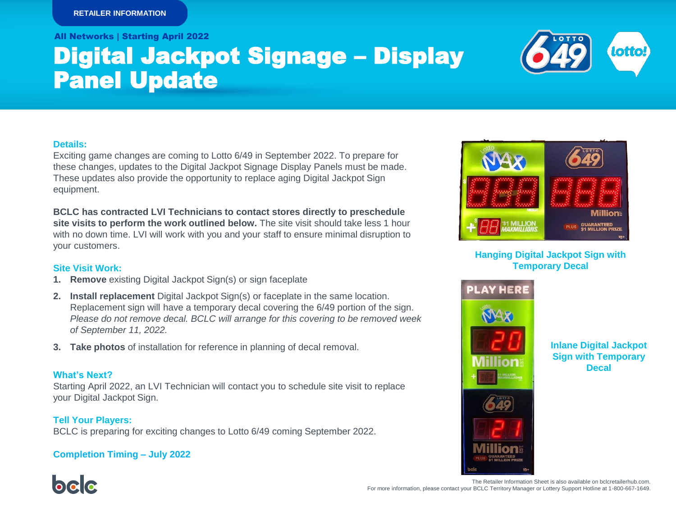All Networks | Starting April 2022

# Digital Jackpot Signage – Display Panel Update



#### **Details:**

Exciting game changes are coming to Lotto 6/49 in September 2022. To prepare for these changes, updates to the Digital Jackpot Signage Display Panels must be made. These updates also provide the opportunity to replace aging Digital Jackpot Sign equipment.

**BCLC has contracted LVI Technicians to contact stores directly to preschedule site visits to perform the work outlined below.** The site visit should take less 1 hour with no down time. LVI will work with you and your staff to ensure minimal disruption to your customers.

## **Site Visit Work:**

- **1. Remove** existing Digital Jackpot Sign(s) or sign faceplate
- **2. Install replacement** Digital Jackpot Sign(s) or faceplate in the same location. Replacement sign will have a temporary decal covering the 6/49 portion of the sign. *Please do not remove decal. BCLC will arrange for this covering to be removed week of September 11, 2022.*
- **3. Take photos** of installation for reference in planning of decal removal.

# **What's Next?**

belo

Starting April 2022, an LVI Technician will contact you to schedule site visit to replace your Digital Jackpot Sign.

**Tell Your Players:**  BCLC is preparing for exciting changes to Lotto 6/49 coming September 2022.

# **Completion Timing – July 2022**



# **Hanging Digital Jackpot Sign with Temporary Decal**



**Inlane Digital Jackpot Sign with Temporary Decal**



The Retailer Information Sheet is also available on bclcretailerhub.com. For more information, please contact your BCLC Territory Manager or Lottery Support Hotline at 1-800-667-1649.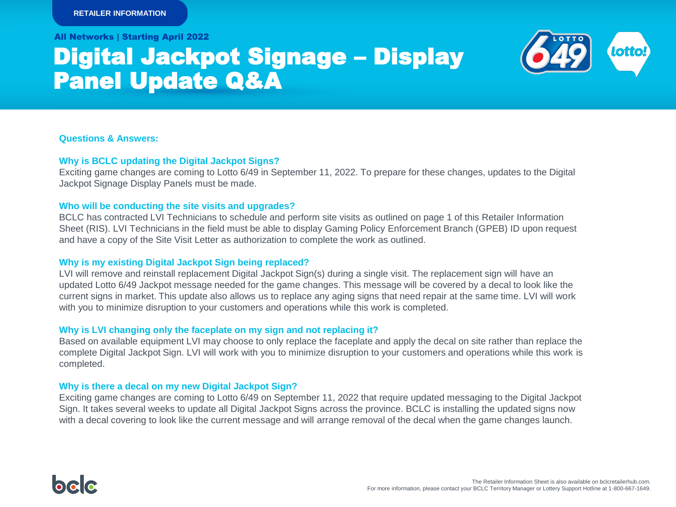All Networks | Starting April 2022

# Digital Jackpot Signage – Display Panel Update Q&A

**Questions & Answers:**

# **Why is BCLC updating the Digital Jackpot Signs?**

Exciting game changes are coming to Lotto 6/49 in September 11, 2022. To prepare for these changes, updates to the Digital Jackpot Signage Display Panels must be made.

## **Who will be conducting the site visits and upgrades?**

BCLC has contracted LVI Technicians to schedule and perform site visits as outlined on page 1 of this Retailer Information Sheet (RIS). LVI Technicians in the field must be able to display Gaming Policy Enforcement Branch (GPEB) ID upon request and have a copy of the Site Visit Letter as authorization to complete the work as outlined.

# **Why is my existing Digital Jackpot Sign being replaced?**

LVI will remove and reinstall replacement Digital Jackpot Sign(s) during a single visit. The replacement sign will have an updated Lotto 6/49 Jackpot message needed for the game changes. This message will be covered by a decal to look like the current signs in market. This update also allows us to replace any aging signs that need repair at the same time. LVI will work with you to minimize disruption to your customers and operations while this work is completed.

# **Why is LVI changing only the faceplate on my sign and not replacing it?**

Based on available equipment LVI may choose to only replace the faceplate and apply the decal on site rather than replace the complete Digital Jackpot Sign. LVI will work with you to minimize disruption to your customers and operations while this work is completed.

## **Why is there a decal on my new Digital Jackpot Sign?**

Exciting game changes are coming to Lotto 6/49 on September 11, 2022 that require updated messaging to the Digital Jackpot Sign. It takes several weeks to update all Digital Jackpot Signs across the province. BCLC is installing the updated signs now with a decal covering to look like the current message and will arrange removal of the decal when the game changes launch.

**lotto**